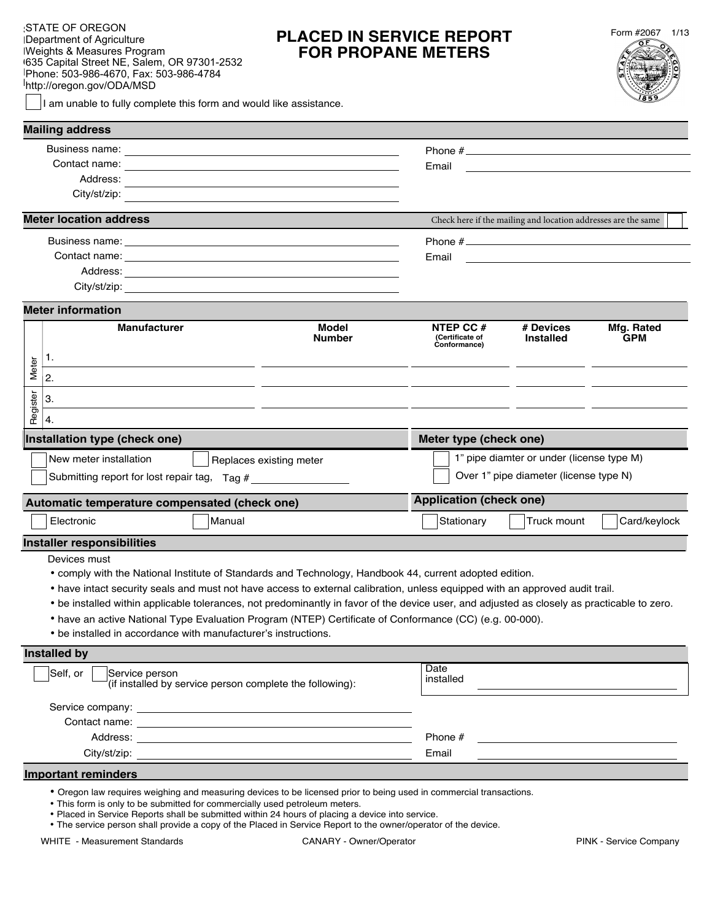| STATE OF OREGON<br>Department of Agriculture<br><b>Weights &amp; Measures Program</b>                              | <b>PLACED</b><br><b>FOR F</b> |
|--------------------------------------------------------------------------------------------------------------------|-------------------------------|
| 635 Capital Street NE, Salem, OR 97301-2532<br>Phone: 503-986-4670, Fax: 503-986-4784<br>http://oregon.gov/ODA/MSD |                               |
| I am unable to fully complete this form and would like assistance.                                                 |                               |

# **PED IN SERVICE REPORT R PROPANE METERS**



| <b>Mailing address</b>                                                                                                                                                                                                                                                                                                                                                                                                                                                                                                                                                              |                                                                                                                     |                                              |                                                                            |                          |
|-------------------------------------------------------------------------------------------------------------------------------------------------------------------------------------------------------------------------------------------------------------------------------------------------------------------------------------------------------------------------------------------------------------------------------------------------------------------------------------------------------------------------------------------------------------------------------------|---------------------------------------------------------------------------------------------------------------------|----------------------------------------------|----------------------------------------------------------------------------|--------------------------|
|                                                                                                                                                                                                                                                                                                                                                                                                                                                                                                                                                                                     |                                                                                                                     |                                              |                                                                            |                          |
| Contact name: <u>__________________________________</u>                                                                                                                                                                                                                                                                                                                                                                                                                                                                                                                             |                                                                                                                     | Email                                        | <u> 1989 - Andrea Stadt Britain, amerikansk politik (</u>                  |                          |
| Address:                                                                                                                                                                                                                                                                                                                                                                                                                                                                                                                                                                            | and the control of the control of the control of the control of the control of the control of the control of the    |                                              |                                                                            |                          |
| City/st/zip:                                                                                                                                                                                                                                                                                                                                                                                                                                                                                                                                                                        |                                                                                                                     |                                              |                                                                            |                          |
| <b>Meter location address</b>                                                                                                                                                                                                                                                                                                                                                                                                                                                                                                                                                       |                                                                                                                     |                                              | Check here if the mailing and location addresses are the same              |                          |
|                                                                                                                                                                                                                                                                                                                                                                                                                                                                                                                                                                                     |                                                                                                                     |                                              |                                                                            |                          |
|                                                                                                                                                                                                                                                                                                                                                                                                                                                                                                                                                                                     |                                                                                                                     | Email                                        | the control of the control of the control of the control of the control of |                          |
| Address: Note and the contract of the contract of the contract of the contract of the contract of the contract of the contract of the contract of the contract of the contract of the contract of the contract of the contract                                                                                                                                                                                                                                                                                                                                                      |                                                                                                                     |                                              |                                                                            |                          |
|                                                                                                                                                                                                                                                                                                                                                                                                                                                                                                                                                                                     |                                                                                                                     |                                              |                                                                            |                          |
| <b>Meter information</b>                                                                                                                                                                                                                                                                                                                                                                                                                                                                                                                                                            |                                                                                                                     |                                              |                                                                            |                          |
| <b>Manufacturer</b>                                                                                                                                                                                                                                                                                                                                                                                                                                                                                                                                                                 | <b>Model</b><br><b>Number</b>                                                                                       | NTEP CC #<br>(Certificate of<br>Conformance) | # Devices<br><b>Installed</b>                                              | Mfg. Rated<br><b>GPM</b> |
| 1.<br>Meter                                                                                                                                                                                                                                                                                                                                                                                                                                                                                                                                                                         |                                                                                                                     |                                              |                                                                            |                          |
| 2.                                                                                                                                                                                                                                                                                                                                                                                                                                                                                                                                                                                  |                                                                                                                     |                                              |                                                                            |                          |
| 3.                                                                                                                                                                                                                                                                                                                                                                                                                                                                                                                                                                                  |                                                                                                                     |                                              |                                                                            |                          |
| Register<br>4.                                                                                                                                                                                                                                                                                                                                                                                                                                                                                                                                                                      |                                                                                                                     |                                              |                                                                            |                          |
| Installation type (check one)                                                                                                                                                                                                                                                                                                                                                                                                                                                                                                                                                       |                                                                                                                     | Meter type (check one)                       |                                                                            |                          |
| New meter installation                                                                                                                                                                                                                                                                                                                                                                                                                                                                                                                                                              | Replaces existing meter                                                                                             |                                              | 1" pipe diamter or under (license type M)                                  |                          |
| Submitting report for lost repair tag, Tag #                                                                                                                                                                                                                                                                                                                                                                                                                                                                                                                                        |                                                                                                                     |                                              | Over 1" pipe diameter (license type N)                                     |                          |
| Automatic temperature compensated (check one)                                                                                                                                                                                                                                                                                                                                                                                                                                                                                                                                       |                                                                                                                     | <b>Application (check one)</b>               |                                                                            |                          |
| Electronic<br>Manual                                                                                                                                                                                                                                                                                                                                                                                                                                                                                                                                                                |                                                                                                                     | Stationary                                   | Truck mount                                                                | Card/keylock             |
| <b>Installer responsibilities</b>                                                                                                                                                                                                                                                                                                                                                                                                                                                                                                                                                   |                                                                                                                     |                                              |                                                                            |                          |
| Devices must<br>• comply with the National Institute of Standards and Technology, Handbook 44, current adopted edition.<br>• have intact security seals and must not have access to external calibration, unless equipped with an approved audit trail.<br>• be installed within applicable tolerances, not predominantly in favor of the device user, and adjusted as closely as practicable to zero.<br>• have an active National Type Evaluation Program (NTEP) Certificate of Conformance (CC) (e.g. 00-000).<br>• be installed in accordance with manufacturer's instructions. |                                                                                                                     |                                              |                                                                            |                          |
| <b>Installed by</b>                                                                                                                                                                                                                                                                                                                                                                                                                                                                                                                                                                 |                                                                                                                     |                                              |                                                                            |                          |
| Self, or<br>Service person<br>(if installed by service person complete the following):                                                                                                                                                                                                                                                                                                                                                                                                                                                                                              |                                                                                                                     | Date<br>installed                            |                                                                            |                          |
| Service company: example and a service company:                                                                                                                                                                                                                                                                                                                                                                                                                                                                                                                                     |                                                                                                                     |                                              |                                                                            |                          |
| Contact name: <u>with a series of the series of the series of the series of the series of the series of the series of the series of the series of the series of the series of the series of the series of the series of the seri</u>                                                                                                                                                                                                                                                                                                                                                |                                                                                                                     |                                              |                                                                            |                          |
|                                                                                                                                                                                                                                                                                                                                                                                                                                                                                                                                                                                     |                                                                                                                     | Phone #                                      |                                                                            |                          |
|                                                                                                                                                                                                                                                                                                                                                                                                                                                                                                                                                                                     |                                                                                                                     | Email                                        |                                                                            |                          |
| <b>Important reminders</b>                                                                                                                                                                                                                                                                                                                                                                                                                                                                                                                                                          |                                                                                                                     |                                              |                                                                            |                          |
|                                                                                                                                                                                                                                                                                                                                                                                                                                                                                                                                                                                     | . Oregon law requires weighing and measuring devices to be licensed prior to being used in commercial transactions. |                                              |                                                                            |                          |

- This form is only to be submitted for commercially used petroleum meters.
- Placed in Service Reports shall be submitted within 24 hours of placing a device into service.
- The service person shall provide a copy of the Placed in Service Report to the owner/operator of the device.